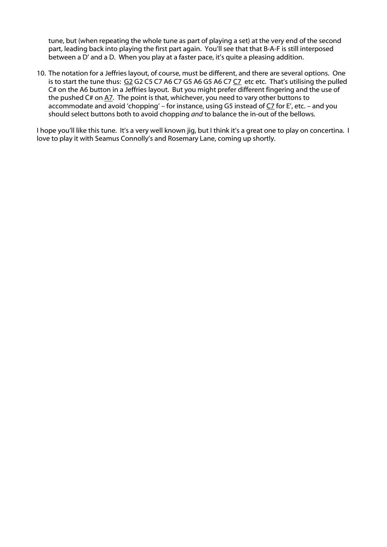tune, but (when repeating the whole tune as part of playing a set) at the very end of the second part, leading back into playing the first part again. You'll see that that B-A-F is still interposed between a D' and a D. When you play at a faster pace, it's quite a pleasing addition.

10. The notation for a Jeffries layout, of course, must be different, and there are several options. One is to start the tune thus: G2 G2 C5 C7 A6 C7 G5 A6 G5 A6 C7 C7 etc etc. That's utilising the pulled C# on the A6 button in a Jeffries layout. But you might prefer different fingering and the use of the pushed C# on A7. The point is that, whichever, you need to vary other buttons to accommodate and avoid 'chopping' – for instance, using G5 instead of  $C_7$  for E', etc. – and you should select buttons both to avoid chopping *and* to balance the in-out of the bellows.

I hope you'll like this tune. It's a very well known jig, but I think it's a great one to play on concertina. I love to play it with Seamus Connolly's and Rosemary Lane, coming up shortly.